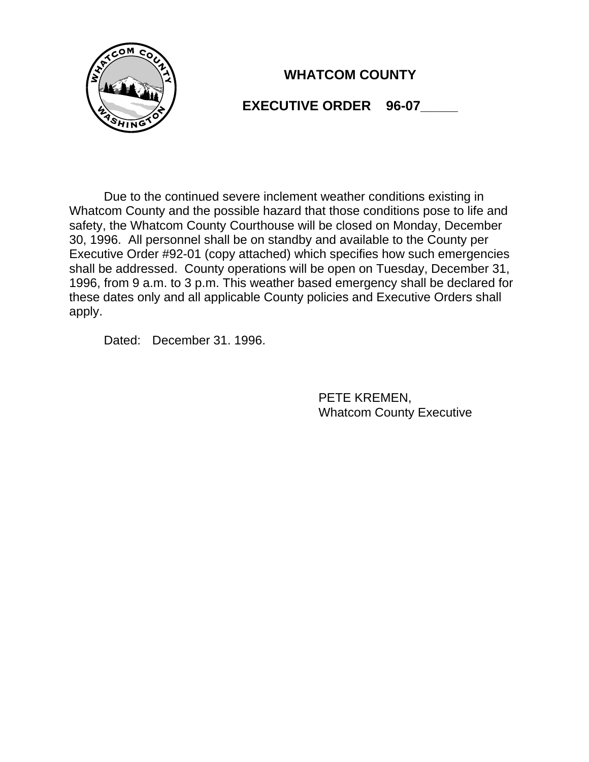

# **WHATCOM COUNTY**

## **EXECUTIVE ORDER 96-07**

Due to the continued severe inclement weather conditions existing in Whatcom County and the possible hazard that those conditions pose to life and safety, the Whatcom County Courthouse will be closed on Monday, December 30, 1996. All personnel shall be on standby and available to the County per Executive Order #92-01 (copy attached) which specifies how such emergencies shall be addressed. County operations will be open on Tuesday, December 31, 1996, from 9 a.m. to 3 p.m. This weather based emergency shall be declared for these dates only and all applicable County policies and Executive Orders shall apply.

Dated: December 31. 1996.

PETE KREMEN, Whatcom County Executive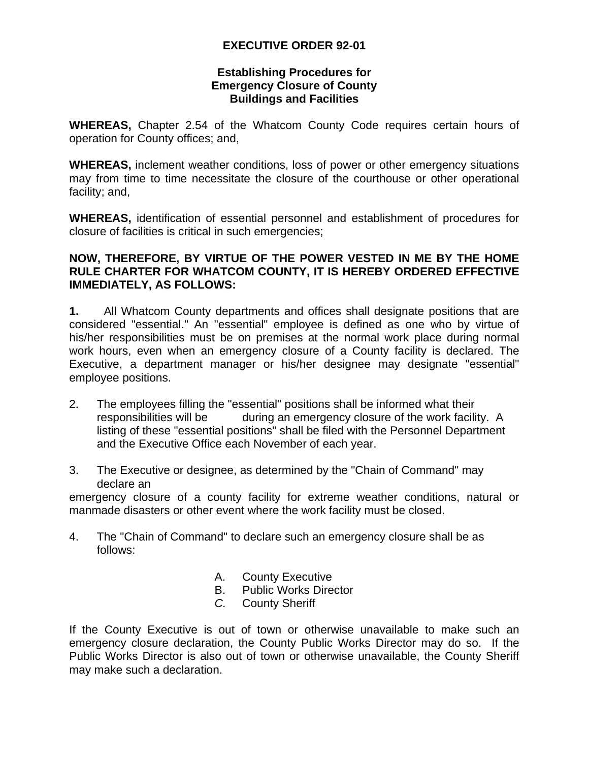### **EXECUTIVE ORDER 92-01**

#### **Establishing Procedures for Emergency Closure of County Buildings and Facilities**

**WHEREAS,** Chapter 2.54 of the Whatcom County Code requires certain hours of operation for County offices; and,

**WHEREAS,** inclement weather conditions, loss of power or other emergency situations may from time to time necessitate the closure of the courthouse or other operational facility; and,

**WHEREAS,** identification of essential personnel and establishment of procedures for closure of facilities is critical in such emergencies;

#### **NOW, THEREFORE, BY VIRTUE OF THE POWER VESTED IN ME BY THE HOME RULE CHARTER FOR WHATCOM COUNTY, IT IS HEREBY ORDERED EFFECTIVE IMMEDIATELY, AS FOLLOWS:**

**1.** All Whatcom County departments and offices shall designate positions that are considered "essential." An "essential" employee is defined as one who by virtue of his/her responsibilities must be on premises at the normal work place during normal work hours, even when an emergency closure of a County facility is declared. The Executive, a department manager or his/her designee may designate "essential" employee positions.

- 2. The employees filling the "essential" positions shall be informed what their responsibilities will be during an emergency closure of the work facility. A listing of these "essential positions" shall be filed with the Personnel Department and the Executive Office each November of each year.
- 3. The Executive or designee, as determined by the "Chain of Command" may declare an

emergency closure of a county facility for extreme weather conditions, natural or manmade disasters or other event where the work facility must be closed.

- 4. The "Chain of Command" to declare such an emergency closure shall be as follows:
	- A. County Executive
	- B. Public Works Director
	- *C.* County Sheriff

If the County Executive is out of town or otherwise unavailable to make such an emergency closure declaration, the County Public Works Director may do so. If the Public Works Director is also out of town or otherwise unavailable, the County Sheriff may make such a declaration.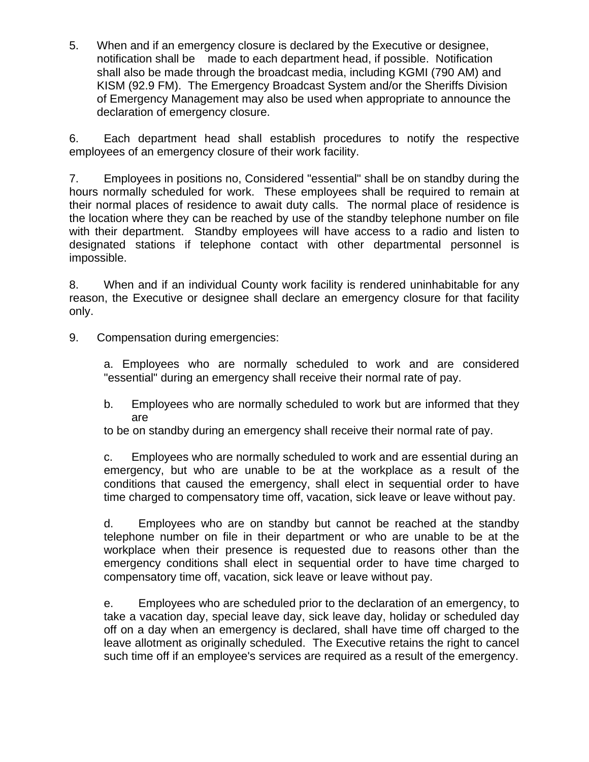5. When and if an emergency closure is declared by the Executive or designee, notification shall be made to each department head, if possible. Notification shall also be made through the broadcast media, including KGMI (790 AM) and KISM (92.9 FM). The Emergency Broadcast System and/or the Sheriffs Division of Emergency Management may also be used when appropriate to announce the declaration of emergency closure.

6. Each department head shall establish procedures to notify the respective employees of an emergency closure of their work facility.

7. Employees in positions no, Considered "essential" shall be on standby during the hours normally scheduled for work. These employees shall be required to remain at their normal places of residence to await duty calls. The normal place of residence is the location where they can be reached by use of the standby telephone number on file with their department. Standby employees will have access to a radio and listen to designated stations if telephone contact with other departmental personnel is impossible.

8. When and if an individual County work facility is rendered uninhabitable for any reason, the Executive or designee shall declare an emergency closure for that facility only.

9. Compensation during emergencies:

a. Employees who are normally scheduled to work and are considered "essential" during an emergency shall receive their normal rate of pay.

b. Employees who are normally scheduled to work but are informed that they are

to be on standby during an emergency shall receive their normal rate of pay.

c. Employees who are normally scheduled to work and are essential during an emergency, but who are unable to be at the workplace as a result of the conditions that caused the emergency, shall elect in sequential order to have time charged to compensatory time off, vacation, sick leave or leave without pay.

d. Employees who are on standby but cannot be reached at the standby telephone number on file in their department or who are unable to be at the workplace when their presence is requested due to reasons other than the emergency conditions shall elect in sequential order to have time charged to compensatory time off, vacation, sick leave or leave without pay.

e. Employees who are scheduled prior to the declaration of an emergency, to take a vacation day, special leave day, sick leave day, holiday or scheduled day off on a day when an emergency is declared, shall have time off charged to the leave allotment as originally scheduled. The Executive retains the right to cancel such time off if an employee's services are required as a result of the emergency.